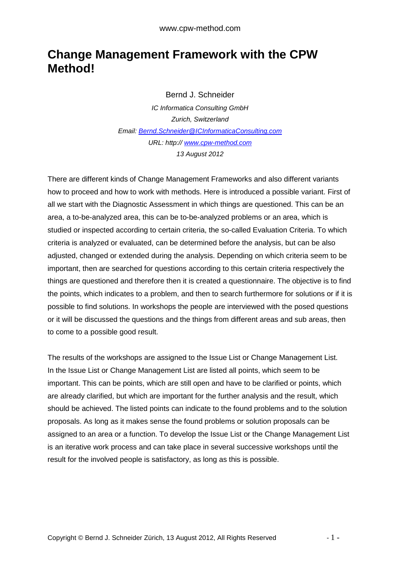## **Change Management Framework with the CPW Method!**

Bernd J. Schneider

IC Informatica Consulting GmbH Zurich, Switzerland Email: Bernd.Schneider@ICInformaticaConsulting.com URL: http:// www.cpw-method.com 13 August 2012

There are different kinds of Change Management Frameworks and also different variants how to proceed and how to work with methods. Here is introduced a possible variant. First of all we start with the Diagnostic Assessment in which things are questioned. This can be an area, a to-be-analyzed area, this can be to-be-analyzed problems or an area, which is studied or inspected according to certain criteria, the so-called Evaluation Criteria. To which criteria is analyzed or evaluated, can be determined before the analysis, but can be also adjusted, changed or extended during the analysis. Depending on which criteria seem to be important, then are searched for questions according to this certain criteria respectively the things are questioned and therefore then it is created a questionnaire. The objective is to find the points, which indicates to a problem, and then to search furthermore for solutions or if it is possible to find solutions. In workshops the people are interviewed with the posed questions or it will be discussed the questions and the things from different areas and sub areas, then to come to a possible good result.

The results of the workshops are assigned to the Issue List or Change Management List. In the Issue List or Change Management List are listed all points, which seem to be important. This can be points, which are still open and have to be clarified or points, which are already clarified, but which are important for the further analysis and the result, which should be achieved. The listed points can indicate to the found problems and to the solution proposals. As long as it makes sense the found problems or solution proposals can be assigned to an area or a function. To develop the Issue List or the Change Management List is an iterative work process and can take place in several successive workshops until the result for the involved people is satisfactory, as long as this is possible.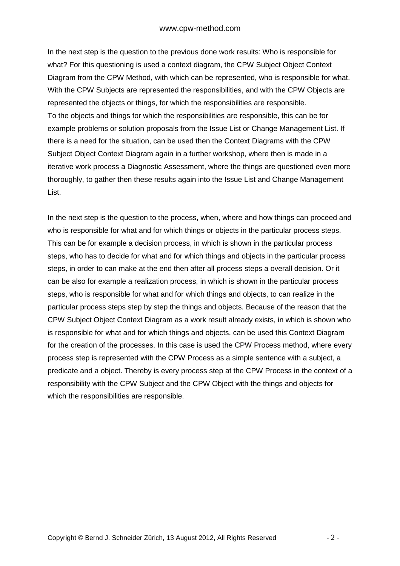In the next step is the question to the previous done work results: Who is responsible for what? For this questioning is used a context diagram, the CPW Subject Object Context Diagram from the CPW Method, with which can be represented, who is responsible for what. With the CPW Subjects are represented the responsibilities, and with the CPW Objects are represented the objects or things, for which the responsibilities are responsible. To the objects and things for which the responsibilities are responsible, this can be for example problems or solution proposals from the Issue List or Change Management List. If there is a need for the situation, can be used then the Context Diagrams with the CPW Subject Object Context Diagram again in a further workshop, where then is made in a iterative work process a Diagnostic Assessment, where the things are questioned even more thoroughly, to gather then these results again into the Issue List and Change Management List.

In the next step is the question to the process, when, where and how things can proceed and who is responsible for what and for which things or objects in the particular process steps. This can be for example a decision process, in which is shown in the particular process steps, who has to decide for what and for which things and objects in the particular process steps, in order to can make at the end then after all process steps a overall decision. Or it can be also for example a realization process, in which is shown in the particular process steps, who is responsible for what and for which things and objects, to can realize in the particular process steps step by step the things and objects. Because of the reason that the CPW Subject Object Context Diagram as a work result already exists, in which is shown who is responsible for what and for which things and objects, can be used this Context Diagram for the creation of the processes. In this case is used the CPW Process method, where every process step is represented with the CPW Process as a simple sentence with a subject, a predicate and a object. Thereby is every process step at the CPW Process in the context of a responsibility with the CPW Subject and the CPW Object with the things and objects for which the responsibilities are responsible.